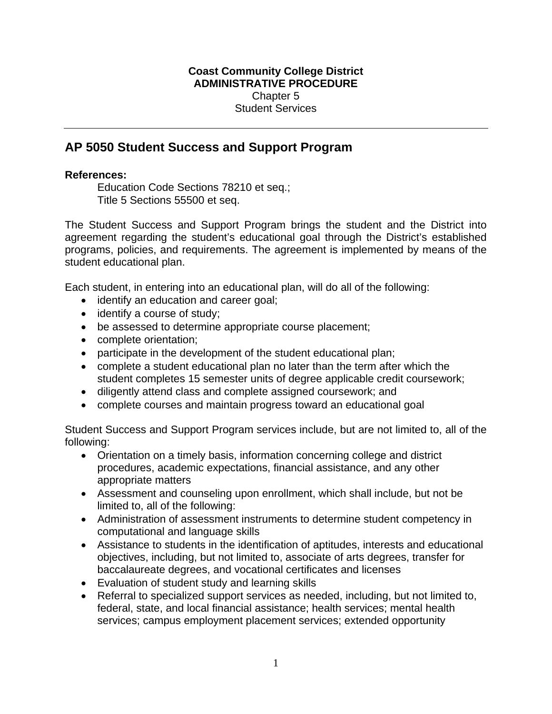## **Coast Community College District ADMINISTRATIVE PROCEDURE**  Chapter 5 Student Services

## **AP 5050 Student Success and Support Program**

## **References:**

Education Code Sections 78210 et seq.; Title 5 Sections 55500 et seq.

The Student Success and Support Program brings the student and the District into agreement regarding the student's educational goal through the District's established programs, policies, and requirements. The agreement is implemented by means of the student educational plan.

Each student, in entering into an educational plan, will do all of the following:

- identify an education and career goal;
- identify a course of study;
- be assessed to determine appropriate course placement;
- complete orientation;
- participate in the development of the student educational plan;
- complete a student educational plan no later than the term after which the student completes 15 semester units of degree applicable credit coursework;
- diligently attend class and complete assigned coursework; and
- complete courses and maintain progress toward an educational goal

Student Success and Support Program services include, but are not limited to, all of the following:

- Orientation on a timely basis, information concerning college and district procedures, academic expectations, financial assistance, and any other appropriate matters
- Assessment and counseling upon enrollment, which shall include, but not be limited to, all of the following:
- Administration of assessment instruments to determine student competency in computational and language skills
- Assistance to students in the identification of aptitudes, interests and educational objectives, including, but not limited to, associate of arts degrees, transfer for baccalaureate degrees, and vocational certificates and licenses
- Evaluation of student study and learning skills
- Referral to specialized support services as needed, including, but not limited to, federal, state, and local financial assistance; health services; mental health services; campus employment placement services; extended opportunity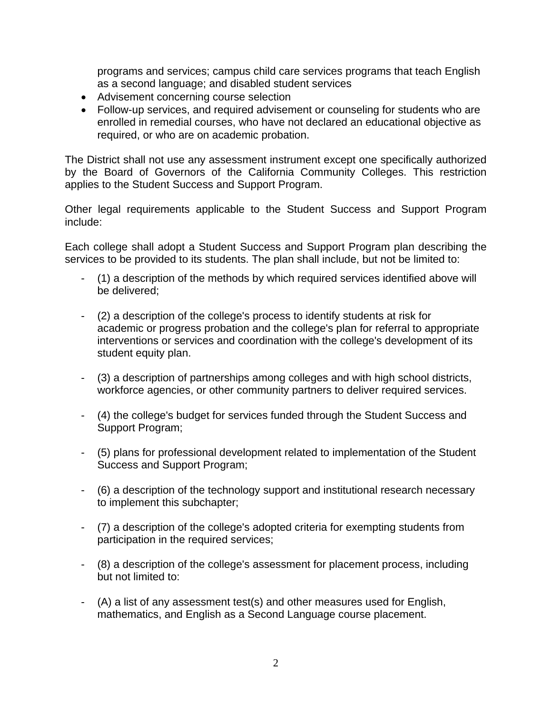programs and services; campus child care services programs that teach English as a second language; and disabled student services

- Advisement concerning course selection
- Follow-up services, and required advisement or counseling for students who are enrolled in remedial courses, who have not declared an educational objective as required, or who are on academic probation.

The District shall not use any assessment instrument except one specifically authorized by the Board of Governors of the California Community Colleges. This restriction applies to the Student Success and Support Program.

Other legal requirements applicable to the Student Success and Support Program include:

Each college shall adopt a Student Success and Support Program plan describing the services to be provided to its students. The plan shall include, but not be limited to:

- (1) a description of the methods by which required services identified above will be delivered;
- (2) a description of the college's process to identify students at risk for academic or progress probation and the college's plan for referral to appropriate interventions or services and coordination with the college's development of its student equity plan.
- (3) a description of partnerships among colleges and with high school districts, workforce agencies, or other community partners to deliver required services.
- (4) the college's budget for services funded through the Student Success and Support Program;
- (5) plans for professional development related to implementation of the Student Success and Support Program;
- (6) a description of the technology support and institutional research necessary to implement this subchapter;
- (7) a description of the college's adopted criteria for exempting students from participation in the required services;
- (8) a description of the college's assessment for placement process, including but not limited to:
- (A) a list of any assessment test(s) and other measures used for English, mathematics, and English as a Second Language course placement.